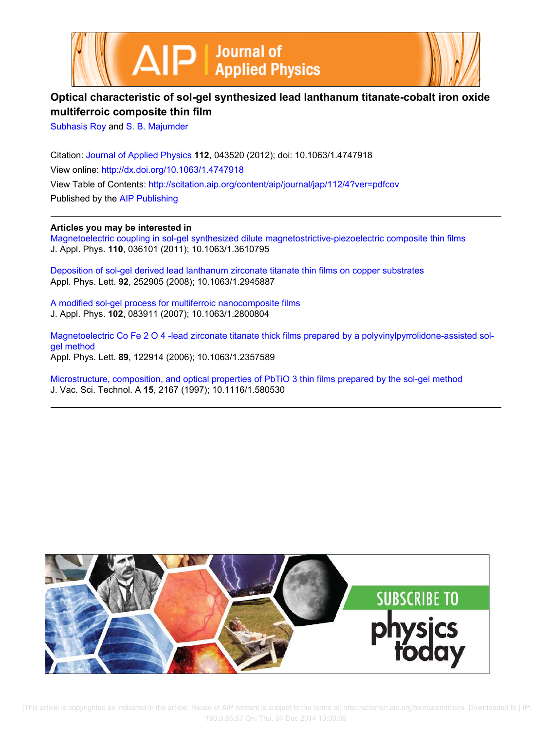



# **Optical characteristic of sol-gel synthesized lead lanthanum titanate-cobalt iron oxide multiferroic composite thin film**

Subhasis Roy and S. B. Majumder

Citation: Journal of Applied Physics **112**, 043520 (2012); doi: 10.1063/1.4747918 View online: http://dx.doi.org/10.1063/1.4747918 View Table of Contents: http://scitation.aip.org/content/aip/journal/jap/112/4?ver=pdfcov Published by the AIP Publishing

## **Articles you may be interested in**

Magnetoelectric coupling in sol-gel synthesized dilute magnetostrictive-piezoelectric composite thin films J. Appl. Phys. **110**, 036101 (2011); 10.1063/1.3610795

Deposition of sol-gel derived lead lanthanum zirconate titanate thin films on copper substrates Appl. Phys. Lett. **92**, 252905 (2008); 10.1063/1.2945887

A modified sol-gel process for multiferroic nanocomposite films J. Appl. Phys. **102**, 083911 (2007); 10.1063/1.2800804

Magnetoelectric Co Fe 2 O 4 -lead zirconate titanate thick films prepared by a polyvinylpyrrolidone-assisted solgel method Appl. Phys. Lett. **89**, 122914 (2006); 10.1063/1.2357589

Microstructure, composition, and optical properties of PbTiO 3 thin films prepared by the sol-gel method J. Vac. Sci. Technol. A **15**, 2167 (1997); 10.1116/1.580530



 [This article is copyrighted as indicated in the article. Reuse of AIP content is subject to the terms at: http://scitation.aip.org/termsconditions. Downloaded to ] IP: 193.0.65.67 On: Thu, 04 Dec 2014 13:30:06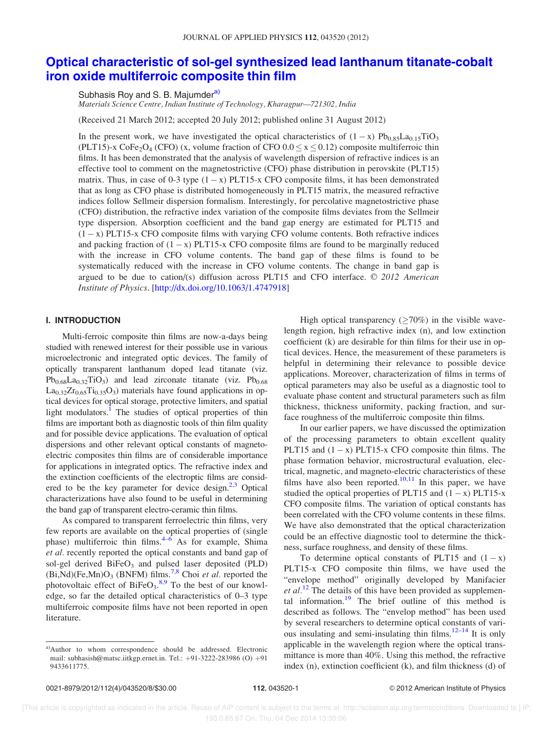# Optical characteristic of sol-gel synthesized lead lanthanum titanate-cobalt iron oxide multiferroic composite thin film

Subhasis Roy and S. B. Majumder<sup>a)</sup>

*Materials Science Centre, Indian Institute of Technology, Kharagpur—721302, India*

(Received 21 March 2012; accepted 20 July 2012; published online 31 August 2012)

In the present work, we have investigated the optical characteristics of  $(1 - x)$   $Pb_{0.85}La_{0.15}TiO_3$ (PLT15)-x CoFe<sub>2</sub>O<sub>4</sub> (CFO) (x, volume fraction of CFO  $0.0 \le x \le 0.12$ ) composite multiferroic thin films. It has been demonstrated that the analysis of wavelength dispersion of refractive indices is an effective tool to comment on the magnetostrictive (CFO) phase distribution in perovskite (PLT15) matrix. Thus, in case of 0-3 type  $(1 - x)$  PLT15-x CFO composite films, it has been demonstrated that as long as CFO phase is distributed homogeneously in PLT15 matrix, the measured refractive indices follow Sellmeir dispersion formalism. Interestingly, for percolative magnetostrictive phase (CFO) distribution, the refractive index variation of the composite films deviates from the Sellmeir type dispersion. Absorption coefficient and the band gap energy are estimated for PLT15 and  $(1 - x)$  PLT15-x CFO composite films with varying CFO volume contents. Both refractive indices and packing fraction of  $(1 - x)$  PLT15-x CFO composite films are found to be marginally reduced with the increase in CFO volume contents. The band gap of these films is found to be systematically reduced with the increase in CFO volume contents. The change in band gap is argued to be due to cation/(s) diffusion across PLT15 and CFO interface. © 2012 American *Institute of Physics*. [http://dx.doi.org/10.1063/1.4747918]

#### I. INTRODUCTION

Multi-ferroic composite thin films are now-a-days being studied with renewed interest for their possible use in various microelectronic and integrated optic devices. The family of optically transparent lanthanum doped lead titanate (viz.  $Pb_{0.68}La_{0.32}TiO_3$ ) and lead zirconate titanate (viz.  $Pb_{0.68}$  $La<sub>0.32</sub>Zr<sub>0.65</sub>Ti<sub>0.35</sub>O<sub>3</sub>$ ) materials have found applications in optical devices for optical storage, protective limiters, and spatial light modulators.<sup>1</sup> The studies of optical properties of thin films are important both as diagnostic tools of thin film quality and for possible device applications. The evaluation of optical dispersions and other relevant optical constants of magnetoelectric composites thin films are of considerable importance for applications in integrated optics. The refractive index and the extinction coefficients of the electroptic films are considered to be the key parameter for device design.<sup>2,3</sup> Optical characterizations have also found to be useful in determining the band gap of transparent electro-ceramic thin films.

As compared to transparent ferroelectric thin films, very few reports are available on the optical properties of (single phase) multiferroic thin films.<sup>4–6</sup> As for example, Shima *et al.* recently reported the optical constants and band gap of sol-gel derived BiFeO<sub>3</sub> and pulsed laser deposited (PLD)  $(Bi, Nd)(Fe, Mn)O<sub>3</sub>$  (BNFM) films.<sup>7,8</sup> Choi *et al.* reported the photovoltaic effect of  $BiFeO<sub>3</sub>$ .<sup>8,9</sup> To the best of our knowledge, so far the detailed optical characteristics of 0–3 type multiferroic composite films have not been reported in open literature.

High optical transparency  $(\geq 70\%)$  in the visible wavelength region, high refractive index (n), and low extinction coefficient (k) are desirable for thin films for their use in optical devices. Hence, the measurement of these parameters is helpful in determining their relevance to possible device applications. Moreover, characterization of films in terms of optical parameters may also be useful as a diagnostic tool to evaluate phase content and structural parameters such as film thickness, thickness uniformity, packing fraction, and surface roughness of the multiferroic composite thin films.

In our earlier papers, we have discussed the optimization of the processing parameters to obtain excellent quality PLT15 and  $(1 - x)$  PLT15-x CFO composite thin films. The phase formation behavior, microstructural evaluation, electrical, magnetic, and magneto-electric characteristics of these films have also been reported.<sup>10,11</sup> In this paper, we have studied the optical properties of PLT15 and  $(1 - x)$  PLT15-x CFO composite films. The variation of optical constants has been correlated with the CFO volume contents in these films. We have also demonstrated that the optical characterization could be an effective diagnostic tool to determine the thickness, surface roughness, and density of these films.

To determine optical constants of PLT15 and  $(1 - x)$ PLT15-x CFO composite thin films, we have used the "envelope method" originally developed by Manifacier *et al.*<sup>12</sup> The details of this have been provided as supplemental information. $19$  The brief outline of this method is described as follows. The "envelop method" has been used by several researchers to determine optical constants of various insulating and semi-insulating thin films. $12-14$  It is only applicable in the wavelength region where the optical transmittance is more than 40%. Using this method, the refractive index (n), extinction coefficient (k), and film thickness (d) of

a)Author to whom correspondence should be addressed. Electronic mail: subhasish@matsc.iitkgp.ernet.in. Tel.: +91-3222-283986 (O) +91 9433611775.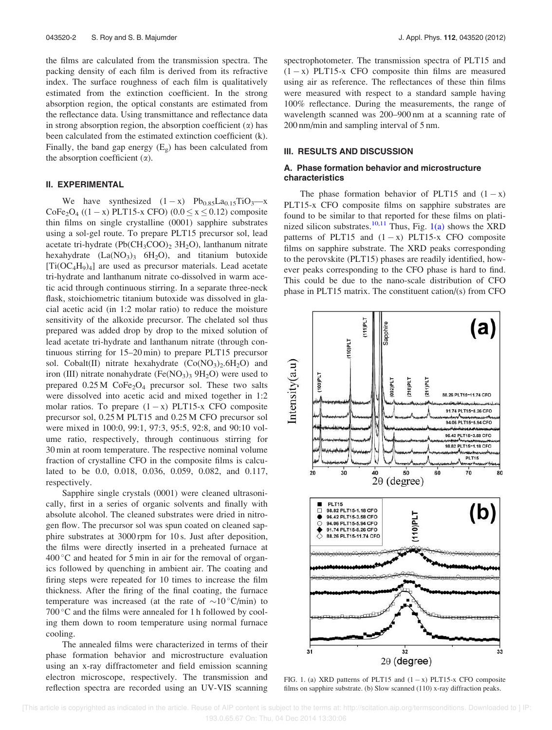the films are calculated from the transmission spectra. The packing density of each film is derived from its refractive index. The surface roughness of each film is qualitatively estimated from the extinction coefficient. In the strong absorption region, the optical constants are estimated from the reflectance data. Using transmittance and reflectance data in strong absorption region, the absorption coefficient  $(\alpha)$  has been calculated from the estimated extinction coefficient (k). Finally, the band gap energy  $(E_g)$  has been calculated from the absorption coefficient  $(\alpha)$ .

#### II. EXPERIMENTAL

We have synthesized  $(1 - x)$  Pb<sub>0.85</sub>La<sub>0.15</sub>TiO<sub>3</sub>—x  $CoFe<sub>2</sub>O<sub>4</sub>$  ((1 - x) PLT15-x CFO) (0.0  $\leq$  x  $\leq$  0.12) composite thin films on single crystalline (0001) sapphire substrates using a sol-gel route. To prepare PLT15 precursor sol, lead acetate tri-hydrate  $(Pb(CH_3COO)_2 3H_2O)$ , lanthanum nitrate hexahydrate  $(La(NO<sub>3</sub>)<sub>3</sub> 6H<sub>2</sub>O)$ , and titanium butoxide  $[Ti(OC_4H_9)_4]$  are used as precursor materials. Lead acetate tri-hydrate and lanthanum nitrate co-dissolved in warm acetic acid through continuous stirring. In a separate three-neck flask, stoichiometric titanium butoxide was dissolved in glacial acetic acid (in 1:2 molar ratio) to reduce the moisture sensitivity of the alkoxide precursor. The chelated sol thus prepared was added drop by drop to the mixed solution of lead acetate tri-hydrate and lanthanum nitrate (through continuous stirring for 15–20 min) to prepare PLT15 precursor sol. Cobalt(II) nitrate hexahydrate  $(Co(NO<sub>3</sub>)<sub>2</sub>.6H<sub>2</sub>O)$  and iron (III) nitrate nonahydrate  $(Fe(NO<sub>3</sub>)<sub>3</sub> 9H<sub>2</sub>O)$  were used to prepared  $0.25 M$  CoFe<sub>2</sub>O<sub>4</sub> precursor sol. These two salts were dissolved into acetic acid and mixed together in 1:2 molar ratios. To prepare  $(1 - x)$  PLT15-x CFO composite precursor sol, 0.25 M PLT15 and 0.25 M CFO precursor sol were mixed in 100:0, 99:1, 97:3, 95:5, 92:8, and 90:10 volume ratio, respectively, through continuous stirring for 30 min at room temperature. The respective nominal volume fraction of crystalline CFO in the composite films is calculated to be 0.0, 0.018, 0.036, 0.059, 0.082, and 0.117, respectively.

Sapphire single crystals (0001) were cleaned ultrasonically, first in a series of organic solvents and finally with absolute alcohol. The cleaned substrates were dried in nitrogen flow. The precursor sol was spun coated on cleaned sapphire substrates at 3000 rpm for 10 s. Just after deposition, the films were directly inserted in a preheated furnace at  $400\degree$ C and heated for 5 min in air for the removal of organics followed by quenching in ambient air. The coating and firing steps were repeated for 10 times to increase the film thickness. After the firing of the final coating, the furnace temperature was increased (at the rate of  $\sim 10$  °C/min) to  $700^{\circ}$ C and the films were annealed for 1 h followed by cooling them down to room temperature using normal furnace cooling.

The annealed films were characterized in terms of their phase formation behavior and microstructure evaluation using an x-ray diffractometer and field emission scanning electron microscope, respectively. The transmission and reflection spectra are recorded using an UV-VIS scanning spectrophotometer. The transmission spectra of PLT15 and  $(1 - x)$  PLT15-x CFO composite thin films are measured using air as reference. The reflectances of these thin films were measured with respect to a standard sample having 100% reflectance. During the measurements, the range of wavelength scanned was 200–900 nm at a scanning rate of 200 nm/min and sampling interval of 5 nm.

### III. RESULTS AND DISCUSSION

#### A. Phase formation behavior and microstructure characteristics

The phase formation behavior of PLT15 and  $(1 - x)$ PLT15-x CFO composite films on sapphire substrates are found to be similar to that reported for these films on platinized silicon substrates.<sup>10,11</sup> Thus, Fig. 1(a) shows the XRD patterns of PLT15 and  $(1 - x)$  PLT15-x CFO composite films on sapphire substrate. The XRD peaks corresponding to the perovskite (PLT15) phases are readily identified, however peaks corresponding to the CFO phase is hard to find. This could be due to the nano-scale distribution of CFO phase in PLT15 matrix. The constituent cation/(s) from CFO



FIG. 1. (a) XRD patterns of PLT15 and  $(1 - x)$  PLT15-x CFO composite films on sapphire substrate. (b) Slow scanned (110) x-ray diffraction peaks.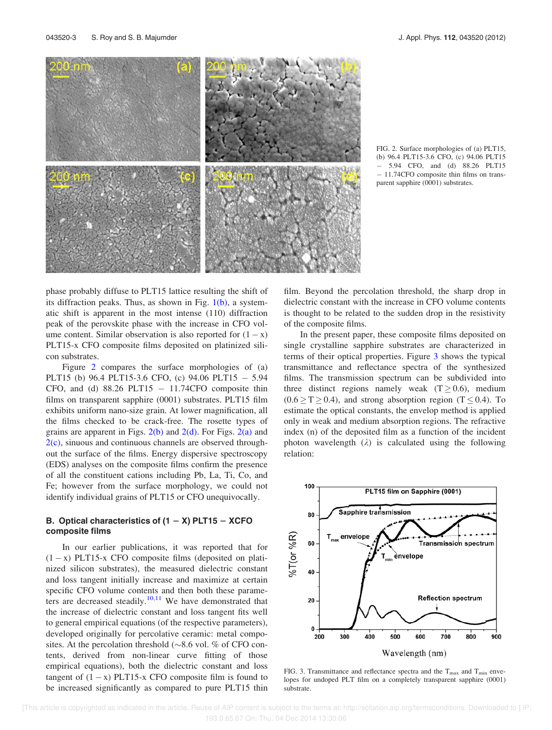

FIG. 2. Surface morphologies of (a) PLT15, (b) 96.4 PLT15-3.6 CFO, (c) 94.06 PLT15 - 5.94 CFO, and (d) 88.26 PLT15 - 11.74CFO composite thin films on transparent sapphire (0001) substrates.

phase probably diffuse to PLT15 lattice resulting the shift of its diffraction peaks. Thus, as shown in Fig.  $1(b)$ , a systematic shift is apparent in the most intense (110) diffraction peak of the perovskite phase with the increase in CFO volume content. Similar observation is also reported for  $(1 - x)$ PLT15-x CFO composite films deposited on platinized silicon substrates.

Figure 2 compares the surface morphologies of (a) PLT15 (b) 96.4 PLT15-3.6 CFO, (c) 94.06 PLT15 - 5.94 CFO, and (d)  $88.26$  PLT15  $-$  11.74CFO composite thin films on transparent sapphire (0001) substrates. PLT15 film exhibits uniform nano-size grain. At lower magnification, all the films checked to be crack-free. The rosette types of grains are apparent in Figs.  $2(b)$  and  $2(d)$ . For Figs.  $2(a)$  and  $2(c)$ , sinuous and continuous channels are observed throughout the surface of the films. Energy dispersive spectroscopy (EDS) analyses on the composite films confirm the presence of all the constituent cations including Pb, La, Ti, Co, and Fe; however from the surface morphology, we could not identify individual grains of PLT15 or CFO unequivocally.

### B. Optical characteristics of  $(1 - X)$  PLT15 - XCFO composite films

In our earlier publications, it was reported that for  $(1 - x)$  PLT15-x CFO composite films (deposited on platinized silicon substrates), the measured dielectric constant and loss tangent initially increase and maximize at certain specific CFO volume contents and then both these parameters are decreased steadily.<sup>10,11</sup> We have demonstrated that the increase of dielectric constant and loss tangent fits well to general empirical equations (of the respective parameters), developed originally for percolative ceramic: metal composites. At the percolation threshold ( $\sim 8.6$  vol. % of CFO contents, derived from non-linear curve fitting of those empirical equations), both the dielectric constant and loss tangent of  $(1 - x)$  PLT15-x CFO composite film is found to be increased significantly as compared to pure PLT15 thin film. Beyond the percolation threshold, the sharp drop in dielectric constant with the increase in CFO volume contents is thought to be related to the sudden drop in the resistivity of the composite films.

In the present paper, these composite films deposited on single crystalline sapphire substrates are characterized in terms of their optical properties. Figure 3 shows the typical transmittance and reflectance spectra of the synthesized films. The transmission spectrum can be subdivided into three distinct regions namely weak  $(T \ge 0.6)$ , medium  $(0.6 \ge T \ge 0.4)$ , and strong absorption region  $(T \le 0.4)$ . To estimate the optical constants, the envelop method is applied only in weak and medium absorption regions. The refractive index (n) of the deposited film as a function of the incident photon wavelength  $(\lambda)$  is calculated using the following relation:



FIG. 3. Transmittance and reflectance spectra and the  $T_{\text{max}}$  and  $T_{\text{min}}$  envelopes for undoped PLT film on a completely transparent sapphire (0001) substrate.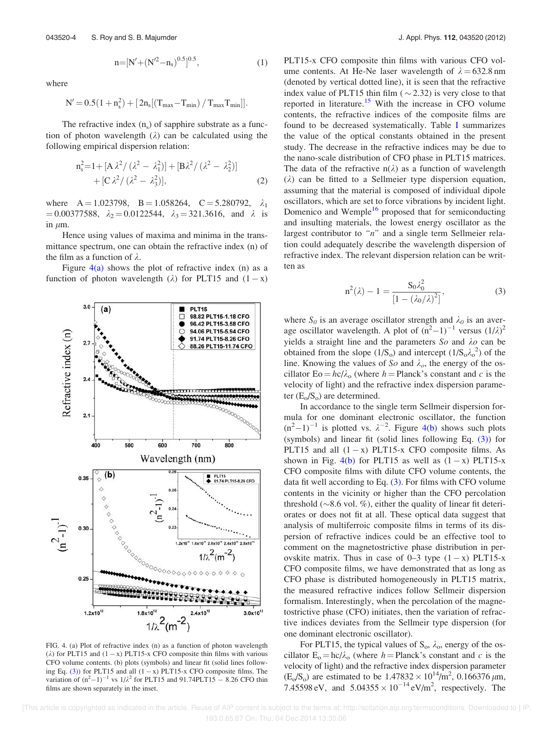where

$$
N'\!=\!0.5(1+n_s^2)+[\,2n_s[(T_{max}\!-\!T_{min})\,/\,T_{max}T_{min}]].
$$

 $n=[N'+(N'^2-n_s)^{0.5}]^{0.5}$ 

; (1)

The refractive index  $(n_s)$  of sapphire substrate as a function of photon wavelength  $(\lambda)$  can be calculated using the following empirical dispersion relation:

$$
n_s^2 = 1 + [A \lambda^2 / (\lambda^2 - \lambda_1^2)] + [B \lambda^2 / (\lambda^2 - \lambda_2^2)] + [C \lambda^2 / (\lambda^2 - \lambda_3^2)],
$$
\n(2)

where  $A = 1.023798$ ,  $B = 1.058264$ ,  $C = 5.280792$ ,  $\lambda_1$  $= 0.00377588$ ,  $\lambda_2 = 0.0122544$ ,  $\lambda_3 = 321.3616$ , and  $\lambda$  is in  $\mu$ m.

Hence using values of maxima and minima in the transmittance spectrum, one can obtain the refractive index (n) of the film as a function of  $\lambda$ .

Figure  $4(a)$  shows the plot of refractive index (n) as a function of photon wavelength  $(\lambda)$  for PLT15 and  $(1 - x)$ 



FIG. 4. (a) Plot of refractive index (n) as a function of photon wavelength  $(\lambda)$  for PLT15 and  $(1 - x)$  PLT15-x CFO composite thin films with various CFO volume contents. (b) plots (symbols) and linear fit (solid lines following Eq.  $(3)$ ) for PLT15 and all  $(1 - x)$  PLT15-x CFO composite films. The variation of  $(n^2-1)^{-1}$  vs  $1/\lambda^2$  for PLT15 and 91.74PLT15 – 8.26 CFO thin films are shown separately in the inset.

PLT15-x CFO composite thin films with various CFO volume contents. At He-Ne laser wavelength of  $\lambda = 632.8$  nm (denoted by vertical dotted line), it is seen that the refractive index value of PLT15 thin film ( $\sim$  2.32) is very close to that reported in literature.<sup>15</sup> With the increase in CFO volume contents, the refractive indices of the composite films are found to be decreased systematically. Table I summarizes the value of the optical constants obtained in the present study. The decrease in the refractive indices may be due to the nano-scale distribution of CFO phase in PLT15 matrices. The data of the refractive  $n(\lambda)$  as a function of wavelength  $(\lambda)$  can be fitted to a Sellmeier type dispersion equation, assuming that the material is composed of individual dipole oscillators, which are set to force vibrations by incident light. Domenico and Wemple<sup>16</sup> proposed that for semiconducting and insulting materials, the lowest energy oscillator as the largest contributor to *"n"* and a single term Sellmeier relation could adequately describe the wavelength dispersion of refractive index. The relevant dispersion relation can be written as

$$
n^{2}(\lambda) - 1 = \frac{S_{0}\lambda_{0}^{2}}{[1 - (\lambda_{0}/\lambda)^{2}]},
$$
\n(3)

where  $S_0$  is an average oscillator strength and  $\lambda_0$  is an average oscillator wavelength. A plot of  $(n^2-1)^{-1}$  versus  $(1/\lambda)^2$ yields a straight line and the parameters  $So$  and  $\lambda o$  can be obtained from the slope  $(1/S_0)$  and intercept  $(1/S_0\lambda_0^2)$  of the line. Knowing the values of *So* and  $\lambda_o$ , the energy of the oscillator  $E_0 = hc/\lambda_0$  (where  $h = Planck's$  constant and c is the velocity of light) and the refractive index dispersion parameter  $(E_0/S_0)$  are determined.

In accordance to the single term Sellmeir dispersion formula for one dominant electronic oscillator, the function  $(n^2-1)^{-1}$  is plotted vs.  $\lambda^{-2}$ . Figure 4(b) shows such plots (symbols) and linear fit (solid lines following Eq. (3)) for PLT15 and all  $(1 - x)$  PLT15-x CFO composite films. As shown in Fig.  $4(b)$  for PLT15 as well as  $(1 - x)$  PLT15-x CFO composite films with dilute CFO volume contents, the data fit well according to Eq.  $(3)$ . For films with CFO volume contents in the vicinity or higher than the CFO percolation threshold ( $\sim$ 8.6 vol. %), either the quality of linear fit deteriorates or does not fit at all. These optical data suggest that analysis of multiferroic composite films in terms of its dispersion of refractive indices could be an effective tool to comment on the magnetostrictive phase distribution in perovskite matrix. Thus in case of  $0-3$  type  $(1-x)$  PLT15-x CFO composite films, we have demonstrated that as long as CFO phase is distributed homogeneously in PLT15 matrix, the measured refractive indices follow Sellmeir dispersion formalism. Interestingly, when the percolation of the magnetostrictive phase (CFO) initiates, then the variation of refractive indices deviates from the Sellmeir type dispersion (for one dominant electronic oscillator).

For PLT15, the typical values of  $S_0$ ,  $\lambda_0$ , energy of the oscillator  $E_0 = hc/\lambda_0$  (where *h* = Planck's constant and *c* is the velocity of light) and the refractive index dispersion parameter  $(E_0/S_0)$  are estimated to be  $1.47832 \times 10^{14}$ /m<sup>2</sup>, 0.166376  $\mu$ m, 7.45598 eV, and  $5.04355 \times 10^{-14}$  eV/m<sup>2</sup>, respectively. The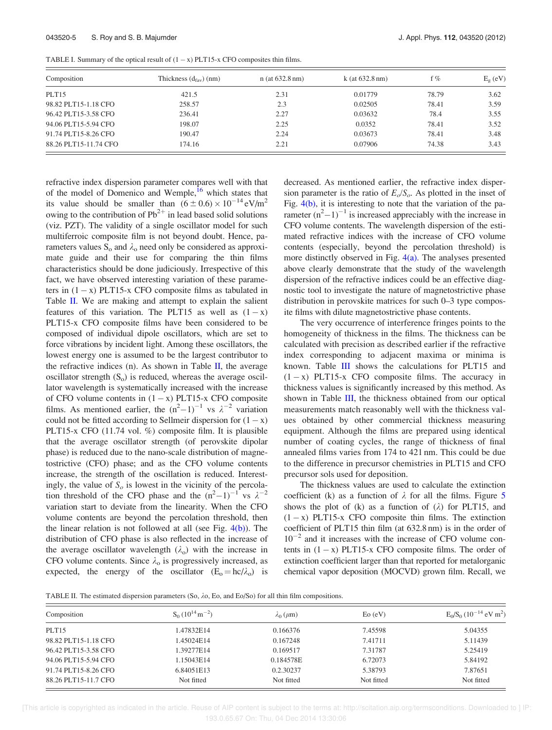| TABLE I. Summary of the optical result of $(1 - x)$ PLT15-x CFO composites thin films. |  |  |
|----------------------------------------------------------------------------------------|--|--|
|----------------------------------------------------------------------------------------|--|--|

| Composition           | Thickness $(d_{\text{fav}})$ (nm) | $n$ (at 632.8 nm) | $k$ (at 632.8 nm) | f %   | $E_{\rm o}$ (eV) |  |
|-----------------------|-----------------------------------|-------------------|-------------------|-------|------------------|--|
| PLT <sub>15</sub>     | 421.5                             | 2.31              | 0.01779           | 78.79 | 3.62             |  |
| 98.82 PLT15-1.18 CFO  | 258.57                            | 2.3               | 0.02505           | 78.41 | 3.59             |  |
| 96.42 PLT15-3.58 CFO  | 236.41                            | 2.27              | 0.03632           | 78.4  | 3.55             |  |
| 94.06 PLT15-5.94 CFO  | 198.07                            | 2.25              | 0.0352            | 78.41 | 3.52             |  |
| 91.74 PLT15-8.26 CFO  | 190.47                            | 2.24              | 0.03673           | 78.41 | 3.48             |  |
| 88.26 PLT15-11.74 CFO | 174.16                            | 2.21              | 0.07906           | 74.38 | 3.43             |  |

refractive index dispersion parameter compares well with that of the model of Domenico and Wemple,<sup>16</sup> which states that its value should be smaller than  $(6 \pm 0.6) \times 10^{-14}$  eV/m<sup>2</sup> owing to the contribution of  $Pb^{2+}$  in lead based solid solutions (viz. PZT). The validity of a single oscillator model for such multiferroic composite film is not beyond doubt. Hence, parameters values  $S_0$  and  $\lambda_0$  need only be considered as approximate guide and their use for comparing the thin films characteristics should be done judiciously. Irrespective of this fact, we have observed interesting variation of these parameters in  $(1 - x)$  PLT15-x CFO composite films as tabulated in Table II. We are making and attempt to explain the salient features of this variation. The PLT15 as well as  $(1 - x)$ PLT15-x CFO composite films have been considered to be composed of individual dipole oscillators, which are set to force vibrations by incident light. Among these oscillators, the lowest energy one is assumed to be the largest contributor to the refractive indices (n). As shown in Table  $II$ , the average oscillator strength  $(S_0)$  is reduced, whereas the average oscillator wavelength is systematically increased with the increase of CFO volume contents in  $(1 - x)$  PLT15-x CFO composite films. As mentioned earlier, the  $(n^2-1)^{-1}$  vs  $\lambda^{-2}$  variation could not be fitted according to Sellmeir dispersion for  $(1 - x)$ PLT15-x CFO (11.74 vol. %) composite film. It is plausible that the average oscillator strength (of perovskite dipolar phase) is reduced due to the nano-scale distribution of magnetostrictive (CFO) phase; and as the CFO volume contents increase, the strength of the oscillation is reduced. Interestingly, the value of  $S<sub>o</sub>$  is lowest in the vicinity of the percolation threshold of the CFO phase and the  $(n^2-1)^{-1}$  vs  $\lambda^{-2}$ variation start to deviate from the linearity. When the CFO volume contents are beyond the percolation threshold, then the linear relation is not followed at all (see Fig.  $4(b)$ ). The distribution of CFO phase is also reflected in the increase of the average oscillator wavelength  $(\lambda_0)$  with the increase in CFO volume contents. Since  $\lambda_0$  is progressively increased, as expected, the energy of the oscillator  $(E_0 = hc/\lambda_0)$  is decreased. As mentioned earlier, the refractive index dispersion parameter is the ratio of  $E_o/S_o$ . As plotted in the inset of Fig. 4(b), it is interesting to note that the variation of the parameter  $(n^2-1)^{-1}$  is increased appreciably with the increase in CFO volume contents. The wavelength dispersion of the estimated refractive indices with the increase of CFO volume contents (especially, beyond the percolation threshold) is more distinctly observed in Fig.  $4(a)$ . The analyses presented above clearly demonstrate that the study of the wavelength dispersion of the refractive indices could be an effective diagnostic tool to investigate the nature of magnetostrictive phase distribution in perovskite matrices for such 0–3 type composite films with dilute magnetostrictive phase contents.

The very occurrence of interference fringes points to the homogeneity of thickness in the films. The thickness can be calculated with precision as described earlier if the refractive index corresponding to adjacent maxima or minima is known. Table III shows the calculations for PLT15 and  $(1 - x)$  PLT15-x CFO composite films. The accuracy in thickness values is significantly increased by this method. As shown in Table III, the thickness obtained from our optical measurements match reasonably well with the thickness values obtained by other commercial thickness measuring equipment. Although the films are prepared using identical number of coating cycles, the range of thickness of final annealed films varies from 174 to 421 nm. This could be due to the difference in precursor chemistries in PLT15 and CFO precursor sols used for deposition.

The thickness values are used to calculate the extinction coefficient (k) as a function of  $\lambda$  for all the films. Figure 5 shows the plot of  $(k)$  as a function of  $(\lambda)$  for PLT15, and  $(1 - x)$  PLT15-x CFO composite thin films. The extinction coefficient of PLT15 thin film (at 632.8 nm) is in the order of  $10^{-2}$  and it increases with the increase of CFO volume contents in  $(1 - x)$  PLT15-x CFO composite films. The order of extinction coefficient larger than that reported for metalorganic chemical vapor deposition (MOCVD) grown film. Recall, we

TABLE II. The estimated dispersion parameters (So,  $\lambda$ o, Eo, and Eo/So) for all thin film compositions.

| Composition          | $S_0(10^{14} m^{-2})$ | $\lambda_0$ ( $\mu$ m) | $E_0$ (eV) | $E_0/S_0 (10^{-14}$ eV m <sup>2</sup> ) |  |
|----------------------|-----------------------|------------------------|------------|-----------------------------------------|--|
| PLT <sub>15</sub>    | 1.47832E14            | 0.166376               | 7.45598    | 5.04355                                 |  |
| 98.82 PLT15-1.18 CFO | 1.45024E14            | 0.167248               | 7.41711    | 5.11439                                 |  |
| 96.42 PLT15-3.58 CFO | 1.39277E14            | 0.169517               | 7.31787    | 5.25419                                 |  |
| 94.06 PLT15-5.94 CFO | 1.15043E14            | 0.184578E              | 6.72073    | 5.84192                                 |  |
| 91.74 PLT15-8.26 CFO | 6.84051E13            | 0.2.30237              | 5.38793    | 7.87651                                 |  |
| 88.26 PLT15-11.7 CFO | Not fitted            | Not fitted             | Not fitted | Not fitted                              |  |

 [This article is copyrighted as indicated in the article. Reuse of AIP content is subject to the terms at: http://scitation.aip.org/termsconditions. Downloaded to ] IP: 193.0.65.67 On: Thu, 04 Dec 2014 13:30:06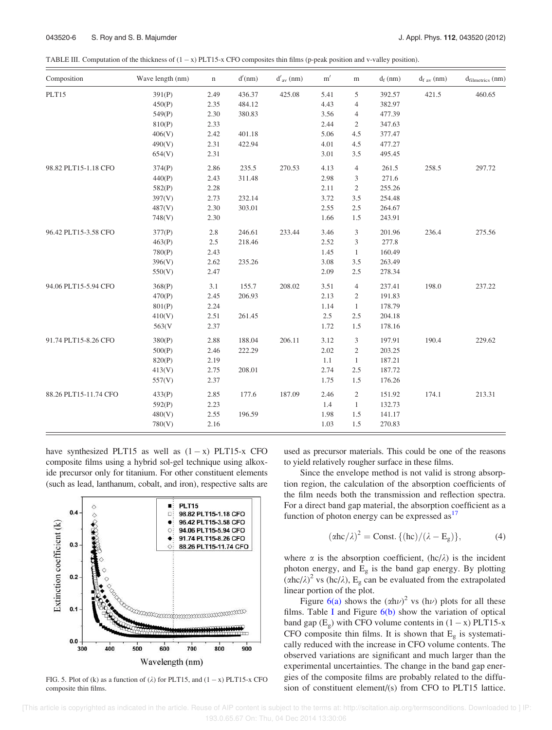[This article is copyrighted as indicated in the article. Reuse of AIP content is subject to the terms at: http://scitation.aip.org/termsconditions. Downloaded to ] IP: 193.0.65.67 On: Thu, 04 Dec 2014 13:30:06

TABLE III. Computation of the thickness of  $(1 - x)$  PLT15-x CFO composites thin films (p-peak position and v-valley position).

| Composition           | Wave length (nm) | $\mathbf n$ | d'(nm) | $d'_{av}$ (nm) | m'   | $\,$ m         | $d_f$ (nm) | $d_{f av}(nm)$ | $d_{\text{filmetrics}}$ (nm) |
|-----------------------|------------------|-------------|--------|----------------|------|----------------|------------|----------------|------------------------------|
| PLT15                 | 391(P)           | 2.49        | 436.37 | 425.08         | 5.41 | 5              | 392.57     | 421.5          | 460.65                       |
|                       | 450(P)           | 2.35        | 484.12 |                | 4.43 | $\overline{4}$ | 382.97     |                |                              |
|                       | 549(P)           | 2.30        | 380.83 |                | 3.56 | 4              | 477.39     |                |                              |
|                       | 810(P)           | 2.33        |        |                | 2.44 | $\overline{c}$ | 347.63     |                |                              |
|                       | 406(V)           | 2.42        | 401.18 |                | 5.06 | 4.5            | 377.47     |                |                              |
|                       | 490(V)           | 2.31        | 422.94 |                | 4.01 | 4.5            | 477.27     |                |                              |
|                       | 654(V)           | 2.31        |        |                | 3.01 | 3.5            | 495.45     |                |                              |
| 98.82 PLT15-1.18 CFO  | 374(P)           | 2.86        | 235.5  | 270.53         | 4.13 | $\overline{4}$ | 261.5      | 258.5          | 297.72                       |
|                       | 440(P)           | 2.43        | 311.48 |                | 2.98 | 3              | 271.6      |                |                              |
|                       | 582(P)           | 2.28        |        |                | 2.11 | $\overline{c}$ | 255.26     |                |                              |
|                       | 397(V)           | 2.73        | 232.14 |                | 3.72 | 3.5            | 254.48     |                |                              |
|                       | 487(V)           | 2.30        | 303.01 |                | 2.55 | 2.5            | 264.67     |                |                              |
|                       | 748(V)           | 2.30        |        |                | 1.66 | 1.5            | 243.91     |                |                              |
| 96.42 PLT15-3.58 CFO  | 377(P)           | 2.8         | 246.61 | 233.44         | 3.46 | 3              | 201.96     | 236.4          | 275.56                       |
|                       | 463(P)           | 2.5         | 218.46 |                | 2.52 | 3              | 277.8      |                |                              |
|                       | 780(P)           | 2.43        |        |                | 1.45 | $\mathbf{1}$   | 160.49     |                |                              |
|                       | 396(V)           | 2.62        | 235.26 |                | 3.08 | 3.5            | 263.49     |                |                              |
|                       | 550(V)           | 2.47        |        |                | 2.09 | 2.5            | 278.34     |                |                              |
| 94.06 PLT15-5.94 CFO  | 368(P)           | 3.1         | 155.7  | 208.02         | 3.51 | $\overline{4}$ | 237.41     | 198.0          | 237.22                       |
|                       | 470(P)           | 2.45        | 206.93 |                | 2.13 | $\overline{c}$ | 191.83     |                |                              |
|                       | 801(P)           | 2.24        |        |                | 1.14 | $\mathbf{1}$   | 178.79     |                |                              |
|                       | 410(V)           | 2.51        | 261.45 |                | 2.5  | 2.5            | 204.18     |                |                              |
|                       | 563(V)           | 2.37        |        |                | 1.72 | 1.5            | 178.16     |                |                              |
| 91.74 PLT15-8.26 CFO  | 380(P)           | 2.88        | 188.04 | 206.11         | 3.12 | 3              | 197.91     | 190.4          | 229.62                       |
|                       | 500(P)           | 2.46        | 222.29 |                | 2.02 | $\overline{c}$ | 203.25     |                |                              |
|                       | 820(P)           | 2.19        |        |                | 1.1  | $\mathbf{1}$   | 187.21     |                |                              |
|                       | 413(V)           | 2.75        | 208.01 |                | 2.74 | 2.5            | 187.72     |                |                              |
|                       | 557(V)           | 2.37        |        |                | 1.75 | 1.5            | 176.26     |                |                              |
| 88.26 PLT15-11.74 CFO | 433(P)           | 2.85        | 177.6  | 187.09         | 2.46 | $\overline{2}$ | 151.92     | 174.1          | 213.31                       |
|                       | 592(P)           | 2.23        |        |                | 1.4  | $\mathbf{1}$   | 132.73     |                |                              |
|                       | 480(V)           | 2.55        | 196.59 |                | 1.98 | 1.5            | 141.17     |                |                              |
|                       | 780(V)           | 2.16        |        |                | 1.03 | 1.5            | 270.83     |                |                              |

have synthesized PLT15 as well as  $(1 - x)$  PLT15-x CFO composite films using a hybrid sol-gel technique using alkoxide precursor only for titanium. For other constituent elements (such as lead, lanthanum, cobalt, and iron), respective salts are



FIG. 5. Plot of (k) as a function of  $(\lambda)$  for PLT15, and  $(1 - x)$  PLT15-x CFO composite thin films.

used as precursor materials. This could be one of the reasons to yield relatively rougher surface in these films.

Since the envelope method is not valid is strong absorption region, the calculation of the absorption coefficients of the film needs both the transmission and reflection spectra. For a direct band gap material, the absorption coefficient as a function of photon energy can be expressed  $as<sup>17</sup>$ 

$$
(\alpha hc/\lambda)^2 = \text{Const.} \{ (hc)/(\lambda - E_g) \},\tag{4}
$$

where  $\alpha$  is the absorption coefficient, (hc/ $\lambda$ ) is the incident photon energy, and  $E<sub>g</sub>$  is the band gap energy. By plotting  $(\alpha hc/\lambda)^2$  vs (hc/ $\lambda$ ), E<sub>g</sub> can be evaluated from the extrapolated linear portion of the plot.

Figure 6(a) shows the  $(\alpha h\nu)^2$  vs (h $\nu$ ) plots for all these films. Table I and Figure  $6(b)$  show the variation of optical band gap  $(E_g)$  with CFO volume contents in  $(1 - x)$  PLT15-x CFO composite thin films. It is shown that  $E<sub>g</sub>$  is systematically reduced with the increase in CFO volume contents. The observed variations are significant and much larger than the experimental uncertainties. The change in the band gap energies of the composite films are probably related to the diffusion of constituent element/(s) from CFO to PLT15 lattice.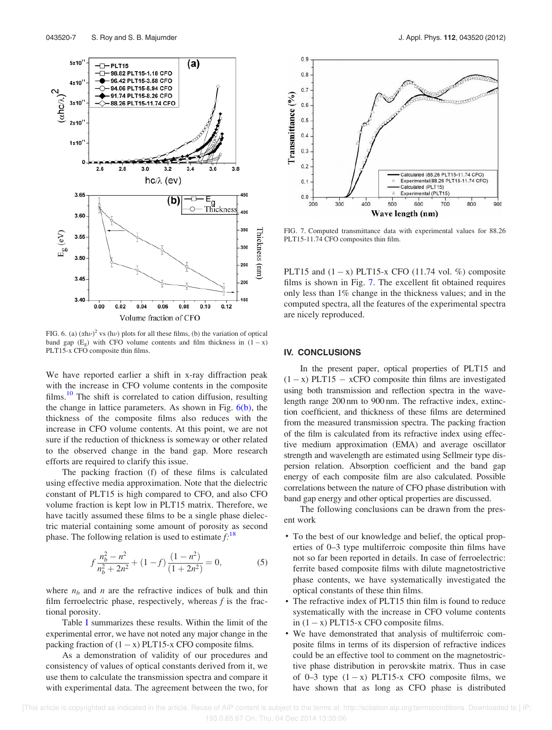

FIG. 6. (a)  $(\alpha h\nu)^2$  vs (h $\nu$ ) plots for all these films, (b) the variation of optical band gap  $(E_g)$  with CFO volume contents and film thickness in  $(1 - x)$ PLT15-x CFO composite thin films.

We have reported earlier a shift in x-ray diffraction peak with the increase in CFO volume contents in the composite films.<sup>10</sup> The shift is correlated to cation diffusion, resulting the change in lattice parameters. As shown in Fig.  $6(b)$ , the thickness of the composite films also reduces with the increase in CFO volume contents. At this point, we are not sure if the reduction of thickness is someway or other related to the observed change in the band gap. More research efforts are required to clarify this issue.

The packing fraction (f) of these films is calculated using effective media approximation. Note that the dielectric constant of PLT15 is high compared to CFO, and also CFO volume fraction is kept low in PLT15 matrix. Therefore, we have tacitly assumed these films to be a single phase dielectric material containing some amount of porosity as second phase. The following relation is used to estimate *f:*<sup>18</sup>

$$
f\frac{n_b^2 - n^2}{n_b^2 + 2n^2} + (1 - f)\frac{(1 - n^2)}{(1 + 2n^2)} = 0,
$$
 (5)

where  $n_b$  and *n* are the refractive indices of bulk and thin film ferroelectric phase, respectively, whereas *f* is the fractional porosity.

Table I summarizes these results. Within the limit of the experimental error, we have not noted any major change in the packing fraction of  $(1 - x)$  PLT15-x CFO composite films.

As a demonstration of validity of our procedures and consistency of values of optical constants derived from it, we use them to calculate the transmission spectra and compare it with experimental data. The agreement between the two, for



FIG. 7. Computed transmittance data with experimental values for 88.26 PLT15-11.74 CFO composites thin film.

PLT15 and  $(1 - x)$  PLT15-x CFO (11.74 vol. %) composite films is shown in Fig. 7. The excellent fit obtained requires only less than 1% change in the thickness values; and in the computed spectra, all the features of the experimental spectra are nicely reproduced.

#### IV. CONCLUSIONS

In the present paper, optical properties of PLT15 and  $(1 - x)$  PLT15 – xCFO composite thin films are investigated using both transmission and reflection spectra in the wavelength range 200 nm to 900 nm. The refractive index, extinction coefficient, and thickness of these films are determined from the measured transmission spectra. The packing fraction of the film is calculated from its refractive index using effective medium approximation (EMA) and average oscillator strength and wavelength are estimated using Sellmeir type dispersion relation. Absorption coefficient and the band gap energy of each composite film are also calculated. Possible correlations between the nature of CFO phase distribution with band gap energy and other optical properties are discussed.

The following conclusions can be drawn from the present work

- To the best of our knowledge and belief, the optical properties of 0–3 type multiferroic composite thin films have not so far been reported in details. In case of ferroelectric: ferrite based composite films with dilute magnetostrictive phase contents, we have systematically investigated the optical constants of these thin films.
- The refractive index of PLT15 thin film is found to reduce systematically with the increase in CFO volume contents in  $(1 - x)$  PLT15-x CFO composite films.
- We have demonstrated that analysis of multiferroic composite films in terms of its dispersion of refractive indices could be an effective tool to comment on the magnetostrictive phase distribution in perovskite matrix. Thus in case of 0–3 type  $(1 - x)$  PLT15-x CFO composite films, we have shown that as long as CFO phase is distributed